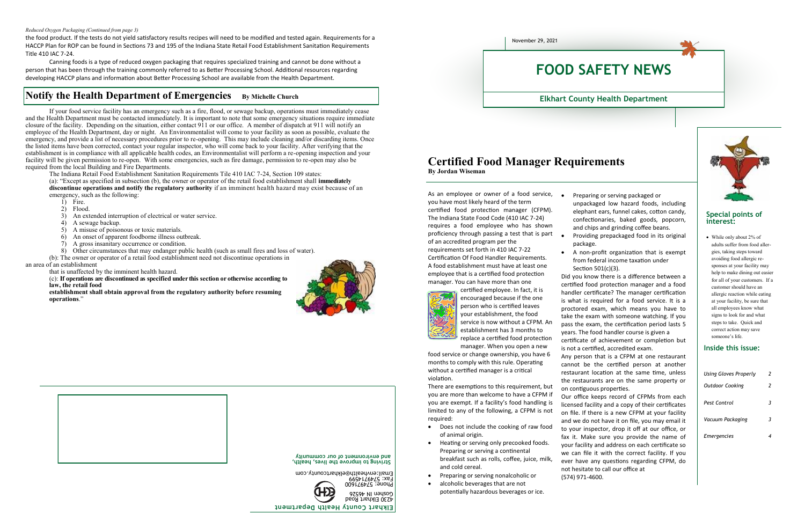the food product. If the tests do not yield satisfactory results recipes will need to be modified and tested again. Requirements for a HACCP Plan for ROP can be found in Sections 73 and 195 of the Indiana State Retail Food Establishment Sanitation Requirements Title 410 IAC 7-24.

Canning foods is a type of reduced oxygen packaging that requires specialized training and cannot be done without a person that has been through the training commonly referred to as Better Processing School. Additional resources regarding developing HACCP plans and information about Better Processing School are available from the Health Department.

### **Notify the Health Department of Emergencies** By Michelle Church

#### *Reduced Oxygen Packaging (Continued from page 3)*

If your food service facility has an emergency such as a fire, flood, or sewage backup, operations must immediately cease and the Health Department must be contacted immediately. It is important to note that some emergency situations require immediate closure of the facility. Depending on the situation, either contact 911 or our office. A member of dispatch at 911 will notify an employee of the Health Department, day or night. An Environmentalist will come to your facility as soon as possible, evaluate the emergency, and provide a list of necessary procedures prior to re-opening. This may include cleaning and/or discarding items. Once the listed items have been corrected, contact your regular inspector, who will come back to your facility. After verifying that the establishment is in compliance with all applicable health codes, an Environmentalist will perform a re-opening inspection and your facility will be given permission to re-open. With some emergencies, such as fire damage, permission to re-open may also be required from the local Building and Fire Departments.

The Indiana Retail Food Establishment Sanitation Requirements Tile 410 IAC 7-24, Section 109 states:

(a): "Except as specified in subsection (b), the owner or operator of the retail food establishment shall **immediately discontinue operations and notify the regulatory authority** if an imminent health hazard may exist because of an emergency, such as the following:

- 1) Fire.
- 2) Flood.
- 3) An extended interruption of electrical or water service.<br>4) A sewage backup.
- A sewage backup.
- 5) A misuse of poisonous or toxic materials.
- 6) An onset of apparent foodborne illness outbreak.
- 7) A gross insanitary occurrence or condition.
- 8) Other circumstances that may endanger public health (such as small fires and loss of water).
- (b): The owner or operator of a retail food establishment need not discontinue operations in an area of an establishment
	- that is unaffected by the imminent health hazard.
	- (c): **If operations are discontinued as specified under this section or otherwise according to law, the retail food**
	- **establishment shall obtain approval from the regulatory authority before resuming operations**."







**Elkhart County Health Department**

Fax: 5749714599 Email:envhealth@elkhartcounty.com

**Striving to improve the lives, health, and environment of our community**

As an employee or owner of a food service, you have most likely heard of the term certified food protection manager (CFPM). The Indiana State Food Code (410 IAC 7-24) requires a food employee who has shown proficiency through passing a test that is part of an accredited program per the requirements set forth in 410 IAC 7-22

Certification Of Food Handler Requirements. A food establishment must have at least one employee that is a certified food protection manager. You can have more than one



certified employee. In fact, it is encouraged because if the one person who is certified leaves your establishment, the food service is now without a CFPM. An establishment has 3 months to replace a certified food protection manager. When you open a new

food service or change ownership, you have 6 months to comply with this rule. Operating without a certified manager is a critical violation.

There are exemptions to this requirement, but you are more than welcome to have a CFPM if you are exempt. If a facility's food handling is limited to any of the following, a CFPM is not required:

- Does not include the cooking of raw food of animal origin.
- Heating or serving only precooked foods. Preparing or serving a continental breakfast such as rolls, coffee, juice, milk, and cold cereal.
- Preparing or serving nonalcoholic or
	- alcoholic beverages that are not potentially hazardous beverages or ice.

Preparing or serving packaged or

unpackaged low hazard foods, including elephant ears, funnel cakes, cotton candy, confectionaries, baked goods, popcorn, and chips and grinding coffee beans.

Providing prepackaged food in its original

 A non-profit organization that is exempt from federal income taxation under

- 
- package.
- Section 501(c)(3).

Did you know there is a difference between a certified food protection manager and a food handler certificate? The manager certification is what is required for a food service. It is a proctored exam, which means you have to take the exam with someone watching. If you pass the exam, the certification period lasts 5

years. The food handler course is given a certificate of achievement or completion but

is not a certified, accredited exam. Any person that is a CFPM at one restaurant

cannot be the certified person at another restaurant location at the same time, unless the restaurants are on the same property or on contiguous properties.

Our office keeps record of CFPMs from each licensed facility and a copy of their certificates on file. If there is a new CFPM at your facility and we do not have it on file, you may email it to your inspector, drop it off at our office, or fax it. Make sure you provide the name of your facility and address on each certificate so we can file it with the correct facility. If you ever have any questions regarding CFPM, do not hesitate to call our office at (574) 971-4600.



### **Certified Food Manager Requirements By Jordan Wiseman**

#### **Special points of interest:**

 While only about 2% of adults suffer from food allergies, taking steps toward avoiding food allergic responses at your facility may help to make dining out easier for all of your customers. If a customer should have an allergic reaction while eating at your facility, be sure that all employees know what signs to look for and what steps to take. Quick and correct action may save someone's life.

| Using Gloves Properly  | 2 |
|------------------------|---|
| <b>Outdoor Cooking</b> | 2 |
| Pest Control           | 3 |
| Vacuum Packaging       | 3 |
| <b>Emergencies</b>     |   |

#### **Inside this issue:**



#### **Elkhart County Health Department**

# **FOOD SAFETY NEWS**